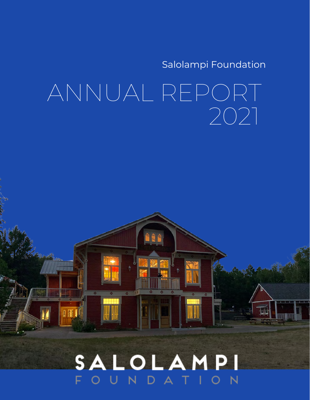Salolampi Foundation

# ANNUAL REPORT 2021

### SALOLAMPI N т

0冊

i je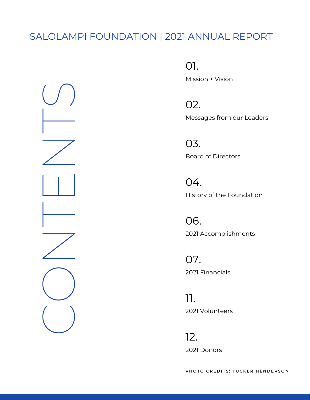### SALOLAMPI FOUNDATION | 2021 ANNUAL REPORT



01.

Mission + Vision

Messages from our Leaders 02.

Board of Directors 03.

History of the Foundation 04.

2021 Accomplishments 06.

2021 Financials 07.

2021 Volunteers 11.

2021 Donors 12.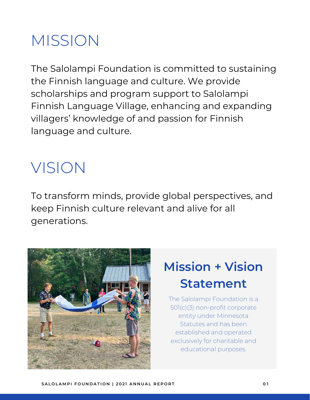# MISSION

The Salolampi Foundation is committed to sustaining the Finnish language and culture. We provide scholarships and program support to Salolampi Finnish Language Village, enhancing and expanding villagers' knowledge of and passion for Finnish language and culture.

# VISION

To transform minds, provide global perspectives, and keep Finnish culture relevant and alive for all generations.



## **Mission + Vision Statement**

The Salolampi Foundation is a 501(c)(3) non-profit corporate entity under Minnesota Statutes and has been established and operated exclusively for charitable and educational purposes.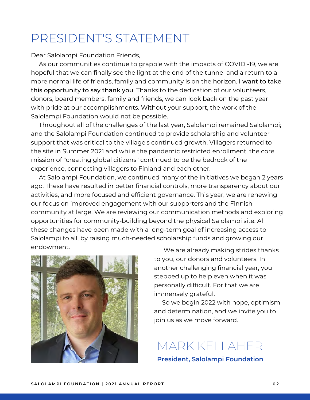## PRESIDENT'S STATEMENT

Dear Salolampi Foundation Friends,

 As our communities continue to grapple with the impacts of COVID -19, we are hopeful that we can finally see the light at the end of the tunnel and a return to a more normal life of friends, family and community is on the horizon. I want to take this opportunity to say thank you. Thanks to the dedication of our volunteers, donors, board members, family and friends, we can look back on the past year with pride at our accomplishments. Without your support, the work of the Salolampi Foundation would not be possible.

 Throughout all of the challenges of the last year, Salolampi remained Salolampi; and the Salolampi Foundation continued to provide scholarship and volunteer support that was critical to the village's continued growth. Villagers returned to the site in Summer 2021 and while the pandemic restricted enrollment, the core mission of "creating global citizens" continued to be the bedrock of the experience, connecting villagers to Finland and each other.

 At Salolampi Foundation, we continued many of the initiatives we began 2 years ago. These have resulted in better financial controls, more transparency about our activities, and more focused and efficient governance. This year, we are renewing our focus on improved engagement with our supporters and the Finnish community at large. We are reviewing our communication methods and exploring opportunities for community-building beyond the physical Salolampi site. All these changes have been made with a long-term goal of increasing access to Salolampi to all, by raising much-needed scholarship funds and growing our endowment.



We are already making strides thanks to you, our donors and volunteers. In another challenging financial year, you stepped up to help even when it was personally difficult. For that we are immensely grateful.

 So we begin 2022 with hope, optimism and determination, and we invite you to join us as we move forward.

MARK KELLAHER

**President, Salolampi Foundation**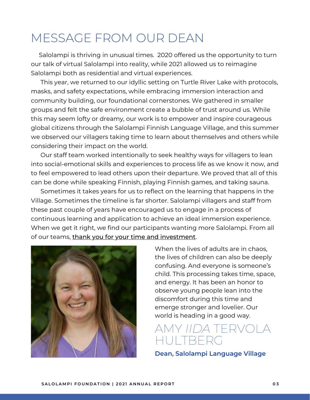## MESSAGE FROM OUR DEAN

 Salolampi is thriving in unusual times. 2020 offered us the opportunity to turn our talk of virtual Salolampi into reality, while 2021 allowed us to reimagine Salolampi both as residential and virtual experiences.

 This year, we returned to our idyllic setting on Turtle River Lake with protocols, masks, and safety expectations, while embracing immersion interaction and community building, our foundational cornerstones. We gathered in smaller groups and felt the safe environment create a bubble of trust around us. While this may seem lofty or dreamy, our work is to empower and inspire courageous global citizens through the Salolampi Finnish Language Village, and this summer we observed our villagers taking time to learn about themselves and others while considering their impact on the world.

 Our staff team worked intentionally to seek healthy ways for villagers to lean into social-emotional skills and experiences to process life as we know it now, and to feel empowered to lead others upon their departure. We proved that all of this can be done while speaking Finnish, playing Finnish games, and taking sauna.

 Sometimes it takes years for us to reflect on the learning that happens in the Village. Sometimes the timeline is far shorter. Salolampi villagers and staff from these past couple of years have encouraged us to engage in a process of continuous learning and application to achieve an ideal immersion experience. When we get it right, we find our participants wanting more Salolampi. From all of our teams, thank you for your time and investment.



When the lives of adults are in chaos, the lives of children can also be deeply confusing. And everyone is someone's child. This processing takes time, space, and energy. It has been an honor to observe young people lean into the discomfort during this time and emerge stronger and lovelier. Our world is heading in a good way.

### AMY *IIDA* TERVOLA HULTBERG

**Dean, Salolampi Language Village**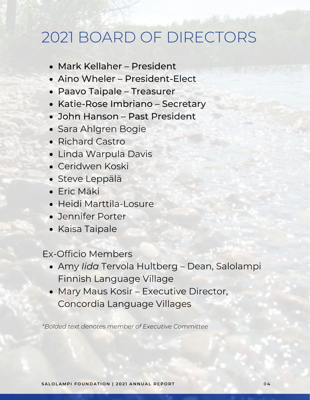## 2021 BOARD OF DIRECTORS

- Mark Kellaher President
- Aino Wheler President-Elect
- Paavo Taipale Treasurer
- Katie-Rose Imbriano Secretary
- John Hanson Past President
- Sara Ahlgren Bogie
- Richard Castro
- Linda Warpula Davis
- Ceridwen Koski
- Steve Leppälä
- Eric Mäki
- Heidi Marttila-Losure
- Jennifer Porter
- Kaisa Taipale

Ex-Officio Members

- Amy *Iida* Tervola Hultberg Dean, Salolampi Finnish Language Village
- Mary Maus Kosir Executive Director, Concordia Language Villages

\**Bolded text denotes member of Executive Committee*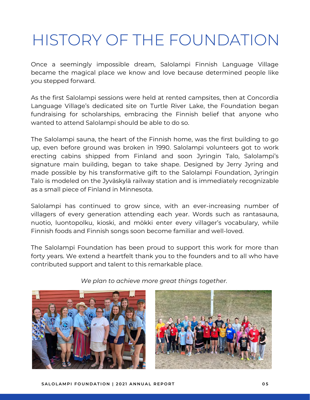# HISTORY OF THE FOUNDATION

Once a seemingly impossible dream, Salolampi Finnish Language Village became the magical place we know and love because determined people like you stepped forward.

As the first Salolampi sessions were held at rented campsites, then at Concordia Language Village's dedicated site on Turtle River Lake, the Foundation began fundraising for scholarships, embracing the Finnish belief that anyone who wanted to attend Salolampi should be able to do so.

The Salolampi sauna, the heart of the Finnish home, was the first building to go up, even before ground was broken in 1990. Salolampi volunteers got to work erecting cabins shipped from Finland and soon Jyringin Talo, Salolampi's signature main building, began to take shape. Designed by Jerry Jyring and made possible by his transformative gift to the Salolampi Foundation, Jyringin Talo is modeled on the Jyväskylä railway station and is immediately recognizable as a small piece of Finland in Minnesota.

Salolampi has continued to grow since, with an ever-increasing number of villagers of every generation attending each year. Words such as rantasauna, nuotio, luontopolku, kioski, and mökki enter every villager's vocabulary, while Finnish foods and Finnish songs soon become familiar and well-loved.

The Salolampi Foundation has been proud to support this work for more than forty years. We extend a heartfelt thank you to the founders and to all who have contributed support and talent to this remarkable place.



*We plan to achieve more great things together.*

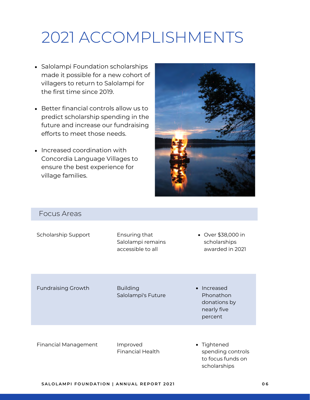# 2021 ACCOMPLISHMENTS

- Salolampi Foundation scholarships made it possible for a new cohort of villagers to return to Salolampi for the first time since 2019.
- Better financial controls allow us to predict scholarship spending in the future and increase our fundraising efforts to meet those needs.
- Increased coordination with Concordia Language Villages to ensure the best experience for village families.



#### Focus Areas

Scholarship Support Ensuring that

Salolampi remains accessible to all

Over \$38,000 in scholarships awarded in 2021

Fundraising Growth

Building Salolampi's Future • Increased Phonathon donations by nearly five percent

Financial Management

Improved Financial Health • Tightened spending controls to focus funds on scholarships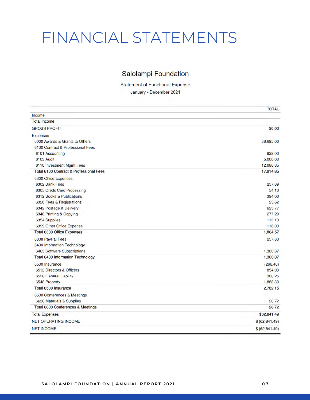## FINANCIAL STATEMENTS

#### Salolampi Foundation

**Statement of Functional Expense** January - December 2021

|                                         | <b>TOTAL</b>    |
|-----------------------------------------|-----------------|
| Income                                  |                 |
| <b>Total Income</b>                     |                 |
| <b>GROSS PROFIT</b>                     | \$0.00          |
| <b>Expenses</b>                         |                 |
| 6000 Awards & Grants to Others          | 38,695.00       |
| 6100 Contract & Professional Fees       |                 |
| 6101 Accounting                         | 828.00          |
| 6103 Audit                              | 5,000.00        |
| 6118 Investment Mgmt Fees               | 12,086.85       |
| Total 6100 Contract & Professional Fees | 17,914.85       |
| 6300 Office Expenses                    |                 |
| 6302 Bank Fees                          | 257.69          |
| 6305 Credit Card Processing             | 54.10           |
| 6312 Books & Publications               | 394.00          |
| 6328 Fees & Registrations               | 25.62           |
| 6342 Postage & Delivery                 | 625.77          |
| 6348 Printing & Copying                 | 277.29          |
| 6354 Supplies                           | 112.10          |
| 6399 Other Office Expense               | 118.00          |
| Total 6300 Office Expenses              | 1,864.57        |
| 6308 PayPal Fees                        | 257.83          |
| 6400 Information Technology             |                 |
| 6465 Software Subscriptions             | 1,300.37        |
| Total 6400 Information Technology       | 1,300.37        |
| 6500 Insurance                          | (266.40)        |
| 6512 Directors & Officers               | 854.00          |
| 6526 General Liability                  | 306.25          |
| 6548 Property                           | 1,888.30        |
| Total 6500 Insurance                    | 2,782.15        |
| 6600 Conferences & Meetings             |                 |
| 6636 Materials & Supplies               | 26.72           |
| Total 6600 Conferences & Meetings       | 26.72           |
| <b>Total Expenses</b>                   | \$62,841.49     |
| <b>NET OPERATING INCOME</b>             | \$ (62, 841.49) |
| <b>NET INCOME</b>                       | \$ (62, 841.49) |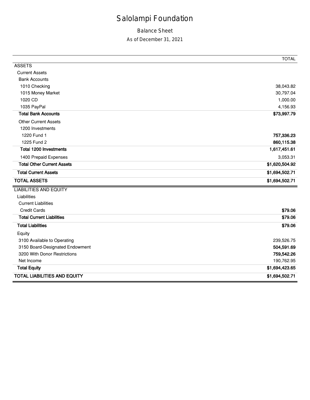### Salolampi Foundation

#### Balance Sheet

#### As of December 31, 2021

|                                     | <b>TOTAL</b>   |
|-------------------------------------|----------------|
| <b>ASSETS</b>                       |                |
| <b>Current Assets</b>               |                |
| <b>Bank Accounts</b>                |                |
| 1010 Checking                       | 38,043.82      |
| 1015 Money Market                   | 30,797.04      |
| 1020 CD                             | 1,000.00       |
| 1035 PayPal                         | 4,156.93       |
| <b>Total Bank Accounts</b>          | \$73,997.79    |
| <b>Other Current Assets</b>         |                |
| 1200 Investments                    |                |
| 1220 Fund 1                         | 757,336.23     |
| 1225 Fund 2                         | 860,115.38     |
| Total 1200 Investments              | 1,617,451.61   |
| 1400 Prepaid Expenses               | 3,053.31       |
| <b>Total Other Current Assets</b>   | \$1,620,504.92 |
| <b>Total Current Assets</b>         | \$1,694,502.71 |
| <b>TOTAL ASSETS</b>                 | \$1,694,502.71 |
| <b>LIABILITIES AND EQUITY</b>       |                |
| Liabilities                         |                |
| <b>Current Liabilities</b>          |                |
| <b>Credit Cards</b>                 | \$79.06        |
| <b>Total Current Liabilities</b>    | \$79.06        |
| <b>Total Liabilities</b>            | \$79.06        |
| Equity                              |                |
| 3100 Available to Operating         | 239,526.75     |
| 3150 Board-Designated Endowment     | 504,591.69     |
| 3200 With Donor Restrictions        | 759,542.26     |
| Net Income                          | 190,762.95     |
| <b>Total Equity</b>                 | \$1,694,423.65 |
| <b>TOTAL LIABILITIES AND EQUITY</b> | \$1,694,502.71 |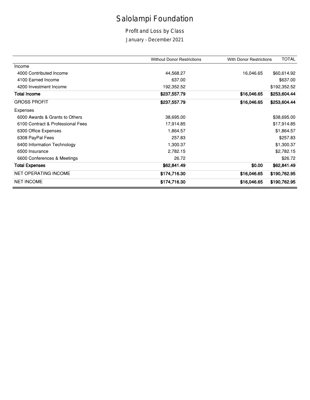### Salolampi Foundation

Profit and Loss by Class

January - December 2021

|                                   | <b>Without Donor Restrictions</b> | <b>With Donor Restrictions</b> | <b>TOTAL</b> |
|-----------------------------------|-----------------------------------|--------------------------------|--------------|
| Income                            |                                   |                                |              |
| 4000 Contributed Income           | 44,568.27                         | 16,046.65                      | \$60,614.92  |
| 4100 Earned Income                | 637.00                            |                                | \$637.00     |
| 4200 Investment Income            | 192,352.52                        |                                | \$192,352.52 |
| <b>Total Income</b>               | \$237,557.79                      | \$16,046.65                    | \$253,604.44 |
| <b>GROSS PROFIT</b>               | \$237,557.79                      | \$16,046.65                    | \$253,604.44 |
| Expenses                          |                                   |                                |              |
| 6000 Awards & Grants to Others    | 38,695.00                         |                                | \$38,695.00  |
| 6100 Contract & Professional Fees | 17,914.85                         |                                | \$17,914.85  |
| 6300 Office Expenses              | 1,864.57                          |                                | \$1,864.57   |
| 6308 PayPal Fees                  | 257.83                            |                                | \$257.83     |
| 6400 Information Technology       | 1,300.37                          |                                | \$1,300.37   |
| 6500 Insurance                    | 2,782.15                          |                                | \$2,782.15   |
| 6600 Conferences & Meetings       | 26.72                             |                                | \$26.72      |
| <b>Total Expenses</b>             | \$62,841.49                       | \$0.00                         | \$62,841.49  |
| <b>NET OPERATING INCOME</b>       | \$174,716.30                      | \$16,046.65                    | \$190,762.95 |
| <b>NET INCOME</b>                 | \$174,716.30                      | \$16,046.65                    | \$190,762.95 |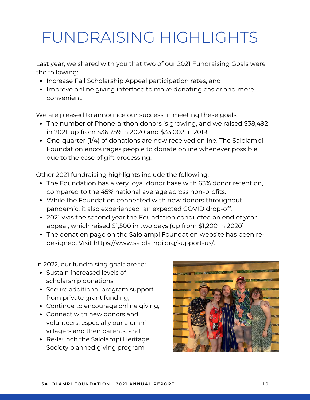# FUNDRAISING HIGHLIGHTS

Last year, we shared with you that two of our 2021 Fundraising Goals were the following:

- Increase Fall Scholarship Appeal participation rates, and
- Improve online giving interface to make donating easier and more convenient

We are pleased to announce our success in meeting these goals:

- The number of Phone-a-thon donors is growing, and we raised \$38,492 in 2021, up from \$36,759 in 2020 and \$33,002 in 2019.
- One-quarter (1/4) of donations are now received online. The Salolampi Foundation encourages people to donate online whenever possible, due to the ease of gift processing.

Other 2021 fundraising highlights include the following:

- The Foundation has a very loyal donor base with 63% donor retention, compared to the 45% national average across non-profits.
- While the Foundation connected with new donors throughout pandemic, it also experienced an expected COVID drop-off.
- 2021 was the second year the Foundation conducted an end of year appeal, which raised \$1,500 in two days (up from \$1,200 in 2020)
- The donation page on the Salolampi Foundation website has been redesigned. Visit <https://www.salolampi.org/support-us/>.

In 2022, our fundraising goals are to:

- Sustain increased levels of scholarship donations,
- Secure additional program support from private grant funding,
- Continue to encourage online giving,
- Connect with new donors and volunteers, especially our alumni villagers and their parents, and
- Re-launch the Salolampi Heritage Society planned giving program

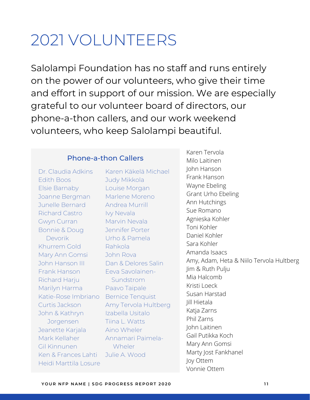## 2021 VOLUNTEERS

Salolampi Foundation has no staff and runs entirely on the power of our volunteers, who give their time and effort in support of our mission. We are especially grateful to our volunteer board of directors, our phone-a-thon callers, and our work weekend volunteers, who keep Salolampi beautiful.

#### Phone-a-thon Callers

Dr. Claudia Adkins Edith Boos Elsie Barnaby Joanne Bergman Junelle Bernard Richard Castro Gwyn Curran Bonnie & Doug Devorik Khurrem Gold Mary Ann Gomsi John Hanson III Frank Hanson Richard Harju Marilyn Harma Katie-Rose Imbriano Curtis Jackson John & Kathryn Jorgensen Jeanette Karjala Mark Kellaher Gil Kinnunen Ken & Frances Lahti Heidi Marttila Losure

Karen Käkelä Michael Judy Mikkola Louise Morgan Marlene Moreno Andrea Murrill Ivy Nevala Marvin Nevala Jennifer Porter Urho & Pamela Rahkola John Rova Dan & Delores Salin Eeva Savolainen- Sundstrom Paavo Taipale Bernice Tenquist Amy Tervola Hultberg Izabella Usitalo Tiina L. Watts Aino Wheler Annamari Paimela- **Wheler** Julie A. Wood

Karen Tervola Milo Laitinen John Hanson Frank Hanson Wayne Ebeling Grant Urho Ebeling Ann Hutchings Sue Romano Agnieska Kohler Toni Kohler Daniel Kohler Sara Kohler Amanda Isaacs Amy, Adam, Heta & Niilo Tervola Hultberg Jim & Ruth Pulju Mia Halcomb Kristi Loeck Susan Harstad Jill Hietala Katja Zarns Phil Zarns John Laitinen Gail Putikka Koch Mary Ann Gomsi Marty Jost Fankhanel Joy Ottem Vonnie Ottem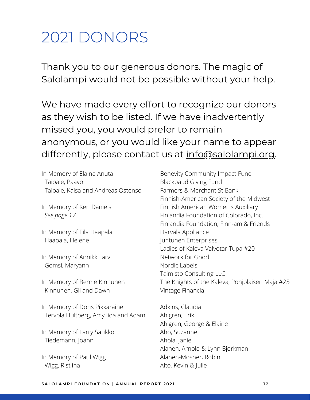## 2021 DONORS

Thank you to our generous donors. The magic of Salolampi would not be possible without your help.

We have made every effort to recognize our donors as they wish to be listed. If we have inadvertently missed you, you would prefer to remain anonymous, or you would like your name to appear differently, please contact us at [info@salolampi.org](mailto:info@salolampi.org).

In Memory of Elaine Anuta Taipale, Paavo Taipale, Kaisa and Andreas Ostenso

In Memory of Ken Daniels *See page 17*

In Memory of Eila Haapala Haapala, Helene

In Memory of Annikki Järvi Gomsi, Maryann

In Memory of Bernie Kinnunen Kinnunen, Gil and Dawn

In Memory of Doris Pikkaraine Tervola Hultberg, Amy Iida and Adam

In Memory of Larry Saukko Tiedemann, Joann

In Memory of Paul Wigg Wigg, Ristiina

Benevity Community Impact Fund Blackbaud Giving Fund Farmers & Merchant St Bank Finnish-American Society of the Midwest Finnish American Women's Auxiliary Finlandia Foundation of Colorado, Inc. Finlandia Foundation, Finn-am & Friends Harvala Appliance Juntunen Enterprises Ladies of Kaleva Valvotar Tupa #20 Network for Good Nordic Labels Taimisto Consulting LLC The Knights of the Kaleva, Pohjolaisen Maja #25 Vintage Financial

Adkins, Claudia Ahlgren, Erik Ahlgren, George & Elaine Aho, Suzanne Ahola, Janie Alanen, Arnold & Lynn Bjorkman Alanen-Mosher, Robin Alto, Kevin & Julie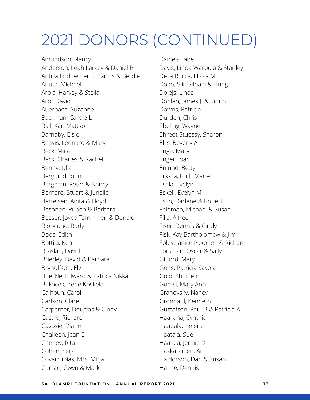Amundson, Nancy Anderson, Leah Larkey & Daniel R. Antilla Endowment, Francis & Berdie Anuta, Michael Arola, Harvey & Stella Arpi, David Auerbach, Suzanne Backman, Carole L Ball, Kari Mattson Barnaby, Elsie Beavis, Leonard & Mary Beck, Micah Beck, Charles & Rachel Benny, Ulla Berglund, John Bergman, Peter & Nancy Bernard, Stuart & Junelle Bertelsen, Anita & Floyd Besonen, Ruben & Barbara Besser, Joyce Tamminen & Donald Bjorklund, Rudy Boos, Edith Bottila, Ken Braslau, David Brierley, David & Barbara Brynolfson, Elvi Buerkle, Edward & Patrica Nikkari Bukacek, Irene Koskela Calhoun, Carol Carlson, Clare Carpenter, Douglas & Cindy Castro, Richard Cavosie, Diane Challeen, Jean E Cheney, Rita Cohen, Seija Covarrubias, Mrs. Mirja Curran, Gwyn & Mark

Daniels, Jane Davis, Linda Warpula & Stanley Della Rocca, Elissa M Doan, Siiri Silpala & Hung Dolejs, Linda Donlan, James J. & Judith L. Downs, Patricia Durden, Chris Ebeling, Wayne Ehredt Stuessy, Sharon Ellis, Beverly A Enge, Mary Enger, Joan Enlund, Betty Erkkila, Ruth Marie Esala, Evelyn Eskeli, Evelyn M Esko, Darlene & Robert Feldman, Michael & Susan Filla, Alfred Fiser, Dennis & Cindy Fisk, Kay Bartholomew & Jim Foley, Janice Pakonen & Richard Forsman, Oscar & Sally Gifford, Mary Gohs, Patricia Savola Gold, Khurrem Gomsi, Mary Ann Granovsky, Nancy Grondahl, Kenneth Gustafson, Paul B & Patricia A Haakana, Cynthia Haapala, Helene Haataja, Sue Haataja, Jennie D Hakkarainen, Ari Haldorson, Dan & Susan Halme, Dennis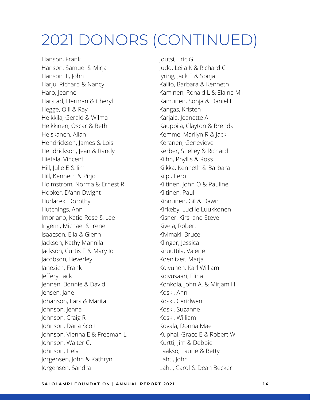Hanson, Frank Hanson, Samuel & Mirja Hanson III, John Harju, Richard & Nancy Haro, Jeanne Harstad, Herman & Cheryl Hegge, Oili & Ray Heikkila, Gerald & Wilma Heikkinen, Oscar & Beth Heiskanen, Allan Hendrickson, James & Lois Hendrickson, Jean & Randy Hietala, Vincent Hill, Julie E & Jim Hill, Kenneth & Pirjo Holmstrom, Norma & Ernest R Hopker, D'ann Dwight Hudacek, Dorothy Hutchings, Ann Imbriano, Katie-Rose & Lee Ingemi, Michael & Irene Isaacson, Eila & Glenn Jackson, Kathy Mannila Jackson, Curtis E & Mary Jo Jacobson, Beverley Janezich, Frank Jeffery, Jack Jennen, Bonnie & David Jensen, Jane Johanson, Lars & Marita Johnson, Jenna Johnson, Craig R Johnson, Dana Scott Johnson, Vienna E & Freeman L Johnson, Walter C. Johnson, Helvi Jorgensen, John & Kathryn Jorgensen, Sandra

Joutsi, Eric G Judd, Leila K & Richard C Jyring, Jack E & Sonja Kallio, Barbara & Kenneth Kaminen, Ronald L & Elaine M Kamunen, Sonja & Daniel L Kangas, Kristen Karjala, Jeanette A Kauppila, Clayton & Brenda Kemme, Marilyn R & Jack Keranen, Genevieve Kerber, Shelley & Richard Kiihn, Phyllis & Ross Kilkka, Kenneth & Barbara Kilpi, Eero Kiltinen, John O & Pauline Kiltinen, Paul Kinnunen, Gil & Dawn Kirkeby, Lucille Luukkonen Kisner, Kirsi and Steve Kivela, Robert Kivimaki, Bruce Klinger, Jessica Knuuttila, Valerie Koenitzer, Marja Koivunen, Karl William Koivusaari, Elina Konkola, John A. & Mirjam H. Koski, Ann Koski, Ceridwen Koski, Suzanne Koski, William Kovala, Donna Mae Kuphal, Grace E & Robert W Kurtti, Jim & Debbie Laakso, Laurie & Betty Lahti, John Lahti, Carol & Dean Becker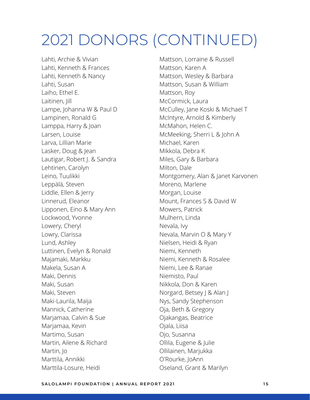Lahti, Archie & Vivian Lahti, Kenneth & Frances Lahti, Kenneth & Nancy Lahti, Susan Laiho, Ethel E. Laitinen, Jill Lampe, Johanna W & Paul D Lampinen, Ronald G Lamppa, Harry & Joan Larsen, Louise Larva, Lillian Marie Lasker, Doug & Jean Lautigar, Robert J. & Sandra Lehtinen, Carolyn Leino, Tuulikki Leppälä, Steven Liddle, Ellen & Jerry Linnerud, Eleanor Lipponen, Eino & Mary Ann Lockwood, Yvonne Lowery, Cheryl Lowry, Clarissa Lund, Ashley Luttinen, Evelyn & Ronald Majamaki, Markku Makela, Susan A Maki, Dennis Maki, Susan Maki, Steven Maki-Laurila, Maija Mannick, Catherine Marjamaa, Calvin & Sue Marjamaa, Kevin Martimo, Susan Martin, Ailene & Richard Martin, Jo Marttila, Annikki Marttila-Losure, Heidi

Mattson, Lorraine & Russell Mattson, Karen A Mattson, Wesley & Barbara Mattson, Susan & William Mattson, Roy McCormick, Laura McCulley, Jane Koski & Michael T McIntyre, Arnold & Kimberly McMahon, Helen C. McMeeking, Sherri L & John A Michael, Karen Mikkola, Debra K Miles, Gary & Barbara Milton, Dale Montgomery, Alan & Janet Karvonen Moreno, Marlene Morgan, Louise Mount, Frances S & David W Mowers, Patrick Mulhern, Linda Nevala, Ivy Nevala, Marvin O & Mary Y Nielsen, Heidi & Ryan Niemi, Kenneth Niemi, Kenneth & Rosalee Niemi, Lee & Ranae Niemisto, Paul Nikkola, Don & Karen Norgard, Betsey J & Alan J Nys, Sandy Stephenson Oja, Beth & Gregory Ojakangas, Beatrice Ojala, Liisa Ojo, Susanna Ollila, Eugene & Julie Ollilainen, Marjukka O'Rourke, JoAnn Oseland, Grant & Marilyn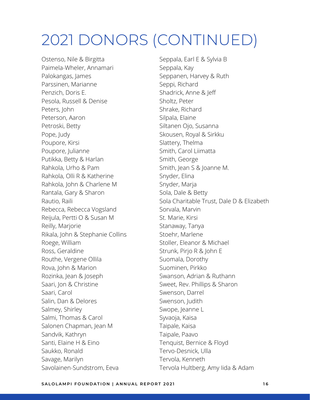Ostenso, Nile & Birgitta Paimela-Wheler, Annamari Palokangas, James Parssinen, Marianne Penzich, Doris E. Pesola, Russell & Denise Peters, John Peterson, Aaron Petroski, Betty Pope, Judy Poupore, Kirsi Poupore, Julianne Putikka, Betty & Harlan Rahkola, Urho & Pam Rahkola, Olli R & Katherine Rahkola, John & Charlene M Rantala, Gary & Sharon Rautio, Raili Rebecca, Rebecca Vogsland Reijula, Pertti O & Susan M Reilly, Marjorie Rikala, John & Stephanie Collins Roege, William Ross, Geraldine Routhe, Vergene Ollila Rova, John & Marion Rozinka, Jean & Joseph Saari, Jon & Christine Saari, Carol Salin, Dan & Delores Salmey, Shirley Salmi, Thomas & Carol Salonen Chapman, Jean M Sandvik, Kathryn Santi, Elaine H & Eino Saukko, Ronald Savage, Marilyn Savolainen-Sundstrom, Eeva

Seppala, Earl E & Sylvia B Seppala, Kay Seppanen, Harvey & Ruth Seppi, Richard Shadrick, Anne & Jeff Sholtz, Peter Shrake, Richard Silpala, Elaine Siltanen Ojo, Susanna Skousen, Royal & Sirkku Slattery, Thelma Smith, Carol Liimatta Smith, George Smith, Jean S & Joanne M. Snyder, Elina Snyder, Marja Sola, Dale & Betty Sola Charitable Trust, Dale D & Elizabeth Sorvala, Marvin St. Marie, Kirsi Stanaway, Tanya Stoehr, Marlene Stoller, Eleanor & Michael Strunk, Pirjo R & John E Suomala, Dorothy Suominen, Pirkko Swanson, Adrian & Ruthann Sweet, Rev. Phillips & Sharon Swenson, Darrel Swenson, Judith Swope, Jeanne L Syvaoja, Kaisa Taipale, Kaisa Taipale, Paavo Tenquist, Bernice & Floyd Tervo-Desnick, Ulla Tervola, Kenneth Tervola Hultberg, Amy Iida & Adam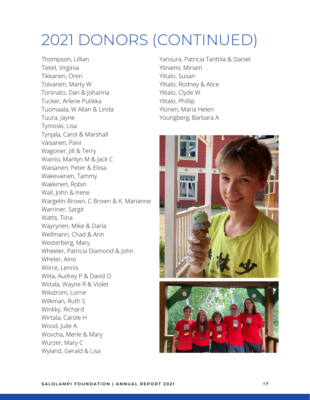Thompson, Lillian Tietel, Virginia Tikkanen, Oren Tolvanen, Marty W Toninato, Dan & Johanna Tucker, Arlene Putikka Tuomaala, W Allan & Linda Tuura, Jayne Tymoski, Lisa Tynjala, Carol & Marshall Vaisanen, Paivi Wagoner, Jill & Terry Wainio, Marilyn M & Jack C Waisanen, Peter & Eliisa Wakevainen, Tammy Wakkinen, Robin Wall, John & Irene Wargelin-Brown, C Brown & K. Marianne Warriner, Sargit Watts, Tiina Wayrynen, Mike & Darla Wellmann, Chad & Ann Westerberg, Mary Wheeler, Patricia Diamond & John Wheler, Aino Wiirre, Lennis Wiita, Audrey P & David O Wiitala, Wayne R & Violet Wikstrom, Lorne Wilkman, Ruth S Winkky, Richard Wirtala, Carole H Wood, Julie A. Wovcha, Merle & Mary Wurzer, Mary C Wyland, Gerald & Lisa

Yansura, Patricia Tanttila & Daniel Yliniemi, Miriam Ylitalo, Susan Ylitalo, Rodney & Alice Ylitalo, Clyde W Ylitalo, Phillip Ylonen, Maria Helen Youngberg, Barbara A



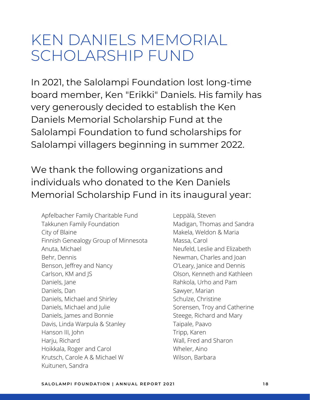## KEN DANIELS MEMORIAL SCHOLARSHIP FUND

In 2021, the Salolampi Foundation lost long-time board member, Ken "Erikki" Daniels. His family has very generously decided to establish the Ken Daniels Memorial Scholarship Fund at the Salolampi Foundation to fund scholarships for Salolampi villagers beginning in summer 2022.

### We thank the following organizations and individuals who donated to the Ken Daniels Memorial Scholarship Fund in its inaugural year:

Apfelbacher Family Charitable Fund Takkunen Family Foundation City of Blaine Finnish Genealogy Group of Minnesota Anuta, Michael Behr, Dennis Benson, Jeffrey and Nancy Carlson, KM and JS Daniels, Jane Daniels, Dan Daniels, Michael and Shirley Daniels, Michael and Julie Daniels, James and Bonnie Davis, Linda Warpula & Stanley Hanson III, John Harju, Richard Hoikkala, Roger and Carol Krutsch, Carole A & Michael W Kuitunen, Sandra

Leppälä, Steven Madigan, Thomas and Sandra Makela, Weldon & Maria Massa, Carol Neufeld, Leslie and Elizabeth Newman, Charles and Joan O'Leary, Janice and Dennis Olson, Kenneth and Kathleen Rahkola, Urho and Pam Sawyer, Marian Schulze, Christine Sorensen, Troy and Catherine Steege, Richard and Mary Taipale, Paavo Tripp, Karen Wall, Fred and Sharon Wheler, Aino Wilson, Barbara